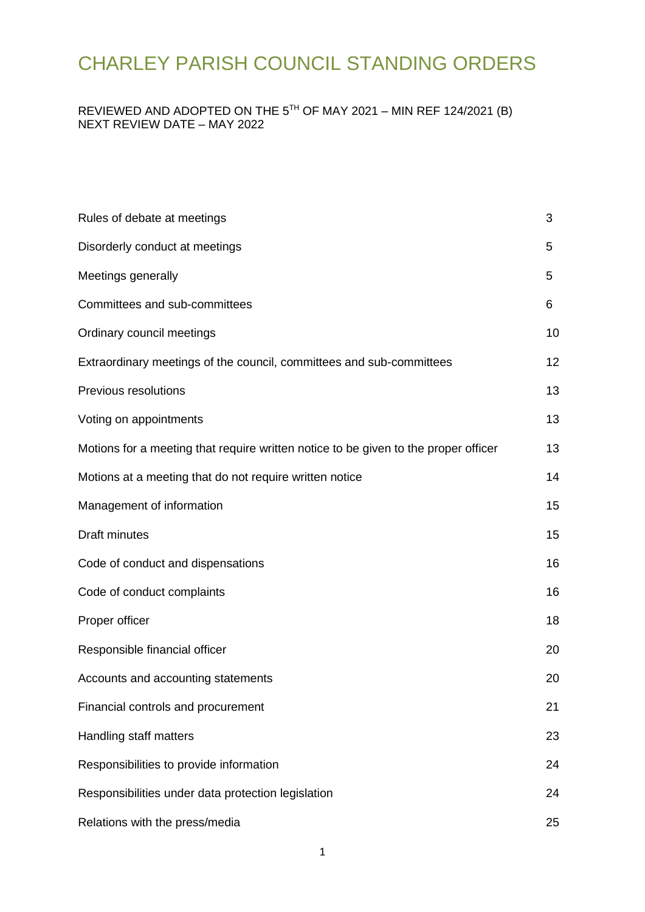### REVIEWED AND ADOPTED ON THE 5TH OF MAY 2021 – MIN REF 124/2021 (B) NEXT REVIEW DATE – MAY 2022

| Rules of debate at meetings                                                         | 3  |
|-------------------------------------------------------------------------------------|----|
| Disorderly conduct at meetings                                                      | 5  |
| Meetings generally                                                                  | 5  |
| Committees and sub-committees                                                       | 6  |
| Ordinary council meetings                                                           | 10 |
| Extraordinary meetings of the council, committees and sub-committees                | 12 |
| Previous resolutions                                                                | 13 |
| Voting on appointments                                                              | 13 |
| Motions for a meeting that require written notice to be given to the proper officer | 13 |
| Motions at a meeting that do not require written notice                             | 14 |
| Management of information                                                           | 15 |
| <b>Draft minutes</b>                                                                | 15 |
| Code of conduct and dispensations                                                   | 16 |
| Code of conduct complaints                                                          | 16 |
| Proper officer                                                                      | 18 |
| Responsible financial officer                                                       | 20 |
| Accounts and accounting statements                                                  | 20 |
| Financial controls and procurement                                                  | 21 |
| Handling staff matters                                                              | 23 |
| Responsibilities to provide information                                             | 24 |
| Responsibilities under data protection legislation                                  | 24 |
| Relations with the press/media                                                      | 25 |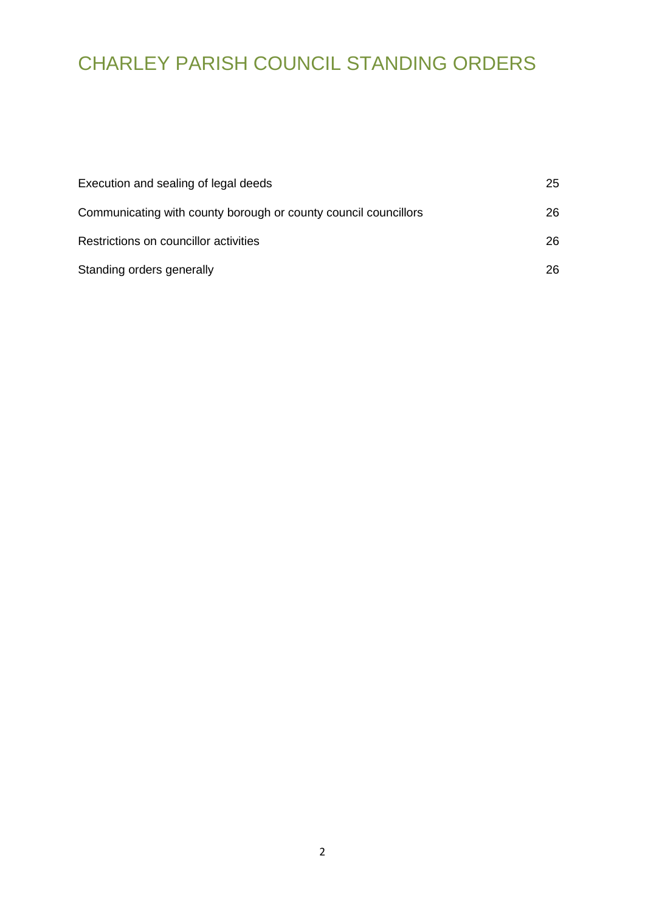| Execution and sealing of legal deeds                            | 25  |
|-----------------------------------------------------------------|-----|
| Communicating with county borough or county council councillors | 26. |
| Restrictions on councillor activities                           | 26. |
| Standing orders generally                                       | 26. |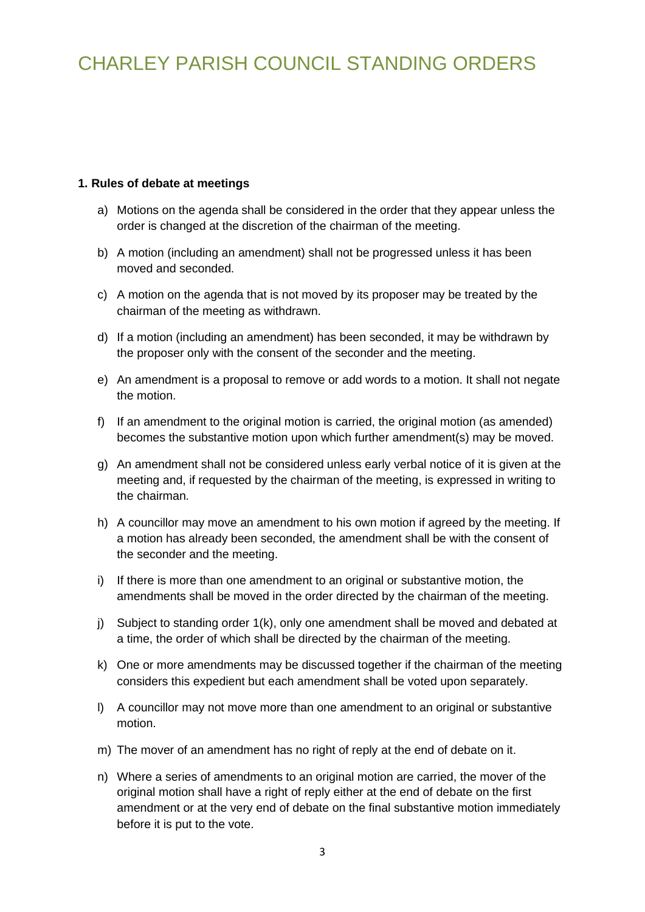#### <span id="page-2-0"></span>**1. Rules of debate at meetings**

- a) Motions on the agenda shall be considered in the order that they appear unless the order is changed at the discretion of the chairman of the meeting.
- b) A motion (including an amendment) shall not be progressed unless it has been moved and seconded.
- c) A motion on the agenda that is not moved by its proposer may be treated by the chairman of the meeting as withdrawn.
- d) If a motion (including an amendment) has been seconded, it may be withdrawn by the proposer only with the consent of the seconder and the meeting.
- e) An amendment is a proposal to remove or add words to a motion. It shall not negate the motion.
- f) If an amendment to the original motion is carried, the original motion (as amended) becomes the substantive motion upon which further amendment(s) may be moved.
- g) An amendment shall not be considered unless early verbal notice of it is given at the meeting and, if requested by the chairman of the meeting, is expressed in writing to the chairman.
- h) A councillor may move an amendment to his own motion if agreed by the meeting. If a motion has already been seconded, the amendment shall be with the consent of the seconder and the meeting.
- i) If there is more than one amendment to an original or substantive motion, the amendments shall be moved in the order directed by the chairman of the meeting.
- j) Subject to standing order 1(k), only one amendment shall be moved and debated at a time, the order of which shall be directed by the chairman of the meeting.
- k) One or more amendments may be discussed together if the chairman of the meeting considers this expedient but each amendment shall be voted upon separately.
- l) A councillor may not move more than one amendment to an original or substantive motion.
- m) The mover of an amendment has no right of reply at the end of debate on it.
- n) Where a series of amendments to an original motion are carried, the mover of the original motion shall have a right of reply either at the end of debate on the first amendment or at the very end of debate on the final substantive motion immediately before it is put to the vote.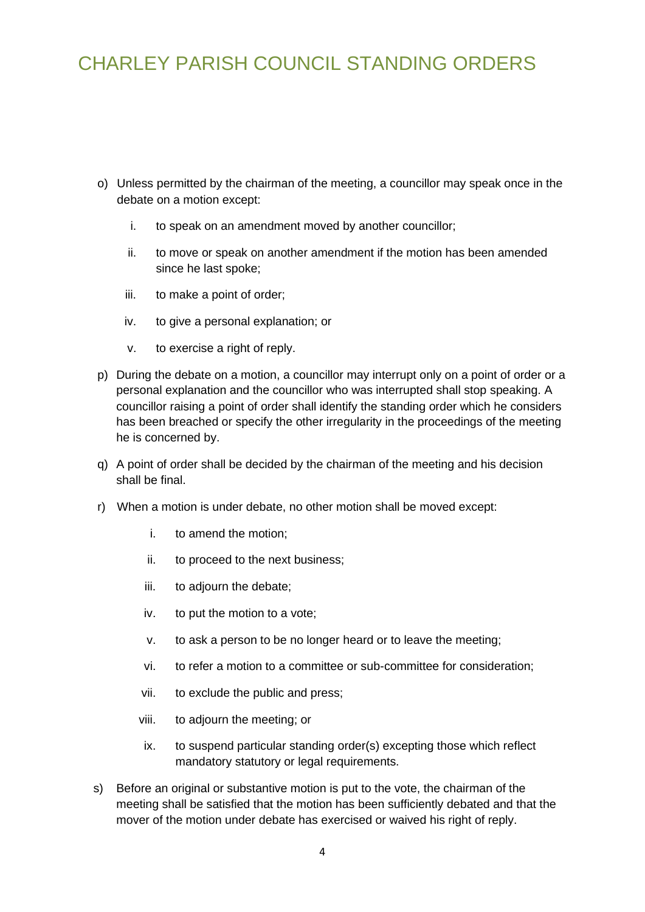- o) Unless permitted by the chairman of the meeting, a councillor may speak once in the debate on a motion except:
	- i. to speak on an amendment moved by another councillor;
	- ii. to move or speak on another amendment if the motion has been amended since he last spoke;
	- iii. to make a point of order;
	- iv. to give a personal explanation; or
	- v. to exercise a right of reply.
- p) During the debate on a motion, a councillor may interrupt only on a point of order or a personal explanation and the councillor who was interrupted shall stop speaking. A councillor raising a point of order shall identify the standing order which he considers has been breached or specify the other irregularity in the proceedings of the meeting he is concerned by.
- q) A point of order shall be decided by the chairman of the meeting and his decision shall be final.
- r) When a motion is under debate, no other motion shall be moved except:
	- i. to amend the motion;
	- ii. to proceed to the next business;
	- iii. to adjourn the debate;
	- iv. to put the motion to a vote;
	- v. to ask a person to be no longer heard or to leave the meeting;
	- vi. to refer a motion to a committee or sub-committee for consideration;
	- vii. to exclude the public and press;
	- viii. to adjourn the meeting; or
	- ix. to suspend particular standing order(s) excepting those which reflect mandatory statutory or legal requirements.
- s) Before an original or substantive motion is put to the vote, the chairman of the meeting shall be satisfied that the motion has been sufficiently debated and that the mover of the motion under debate has exercised or waived his right of reply.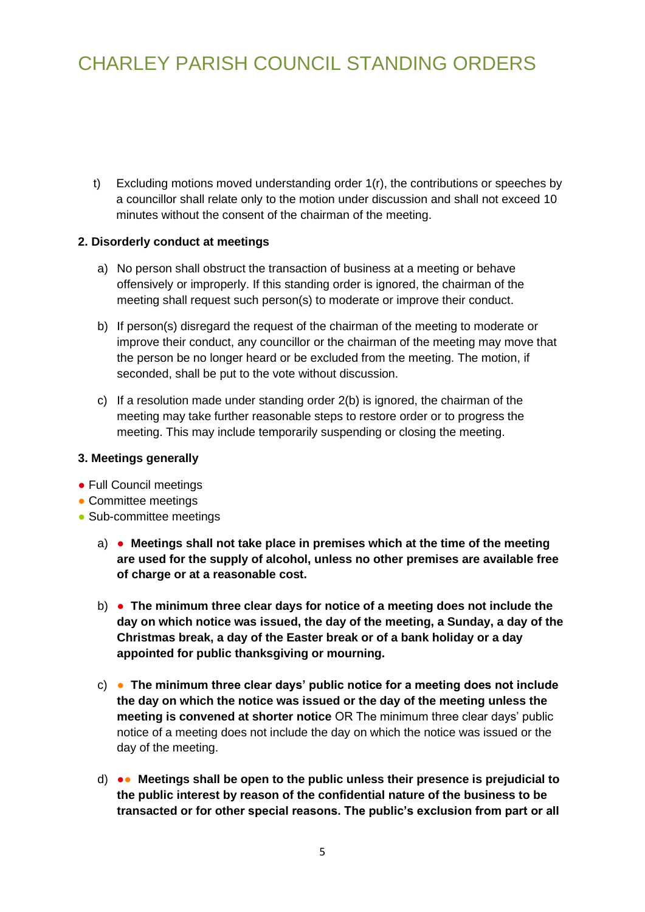t) Excluding motions moved understanding order 1(r), the contributions or speeches by a councillor shall relate only to the motion under discussion and shall not exceed 10 minutes without the consent of the chairman of the meeting.

#### **2. Disorderly conduct at meetings**

- <span id="page-4-0"></span>a) No person shall obstruct the transaction of business at a meeting or behave offensively or improperly. If this standing order is ignored, the chairman of the meeting shall request such person(s) to moderate or improve their conduct.
- b) If person(s) disregard the request of the chairman of the meeting to moderate or improve their conduct, any councillor or the chairman of the meeting may move that the person be no longer heard or be excluded from the meeting. The motion, if seconded, shall be put to the vote without discussion.
- <span id="page-4-1"></span>c) If a resolution made under standing order 2(b) is ignored, the chairman of the meeting may take further reasonable steps to restore order or to progress the meeting. This may include temporarily suspending or closing the meeting.

#### **3. Meetings generally**

- Full Council meetings
- Committee meetings
- Sub-committee meetings
	- a) **Meetings shall not take place in premises which at the time of the meeting are used for the supply of alcohol, unless no other premises are available free of charge or at a reasonable cost.**
	- b) **The minimum three clear days for notice of a meeting does not include the day on which notice was issued, the day of the meeting, a Sunday, a day of the Christmas break, a day of the Easter break or of a bank holiday or a day appointed for public thanksgiving or mourning.**
	- c) **The minimum three clear days' public notice for a meeting does not include the day on which the notice was issued or the day of the meeting unless the meeting is convened at shorter notice** OR The minimum three clear days' public notice of a meeting does not include the day on which the notice was issued or the day of the meeting.
	- d) ●● **Meetings shall be open to the public unless their presence is prejudicial to the public interest by reason of the confidential nature of the business to be transacted or for other special reasons. The public's exclusion from part or all**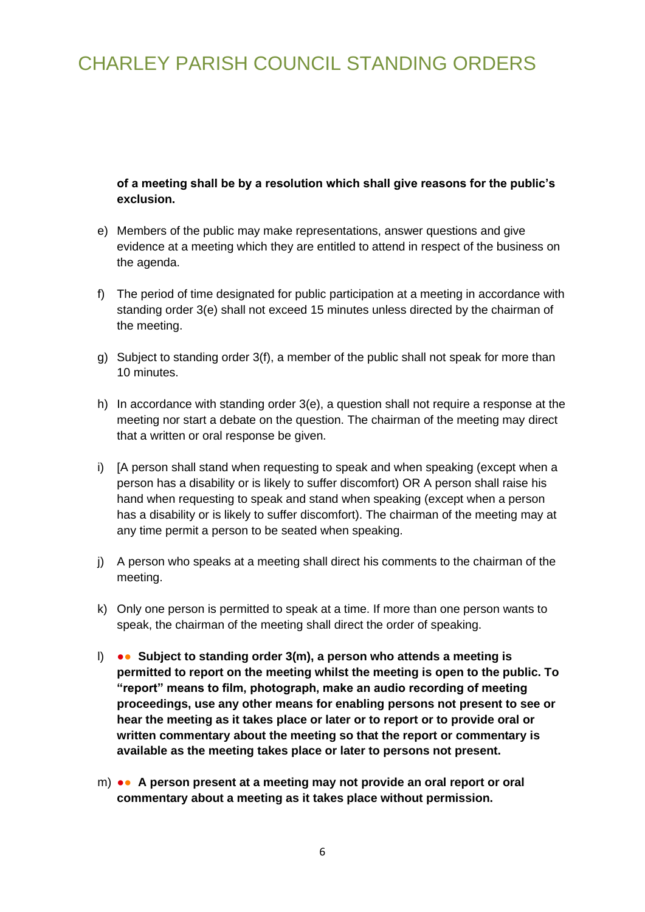**of a meeting shall be by a resolution which shall give reasons for the public's exclusion.**

- e) Members of the public may make representations, answer questions and give evidence at a meeting which they are entitled to attend in respect of the business on the agenda.
- f) The period of time designated for public participation at a meeting in accordance with standing order 3(e) shall not exceed 15 minutes unless directed by the chairman of the meeting.
- g) Subject to standing order 3(f), a member of the public shall not speak for more than 10 minutes.
- h) In accordance with standing order 3(e), a question shall not require a response at the meeting nor start a debate on the question. The chairman of the meeting may direct that a written or oral response be given.
- i) [A person shall stand when requesting to speak and when speaking (except when a person has a disability or is likely to suffer discomfort) OR A person shall raise his hand when requesting to speak and stand when speaking (except when a person has a disability or is likely to suffer discomfort). The chairman of the meeting may at any time permit a person to be seated when speaking.
- j) A person who speaks at a meeting shall direct his comments to the chairman of the meeting.
- <span id="page-5-0"></span>k) Only one person is permitted to speak at a time. If more than one person wants to speak, the chairman of the meeting shall direct the order of speaking.
- l) ●● **Subject to standing order 3(m), a person who attends a meeting is permitted to report on the meeting whilst the meeting is open to the public. To "report" means to film, photograph, make an audio recording of meeting proceedings, use any other means for enabling persons not present to see or hear the meeting as it takes place or later or to report or to provide oral or written commentary about the meeting so that the report or commentary is available as the meeting takes place or later to persons not present.**
- m) ●● **A person present at a meeting may not provide an oral report or oral commentary about a meeting as it takes place without permission.**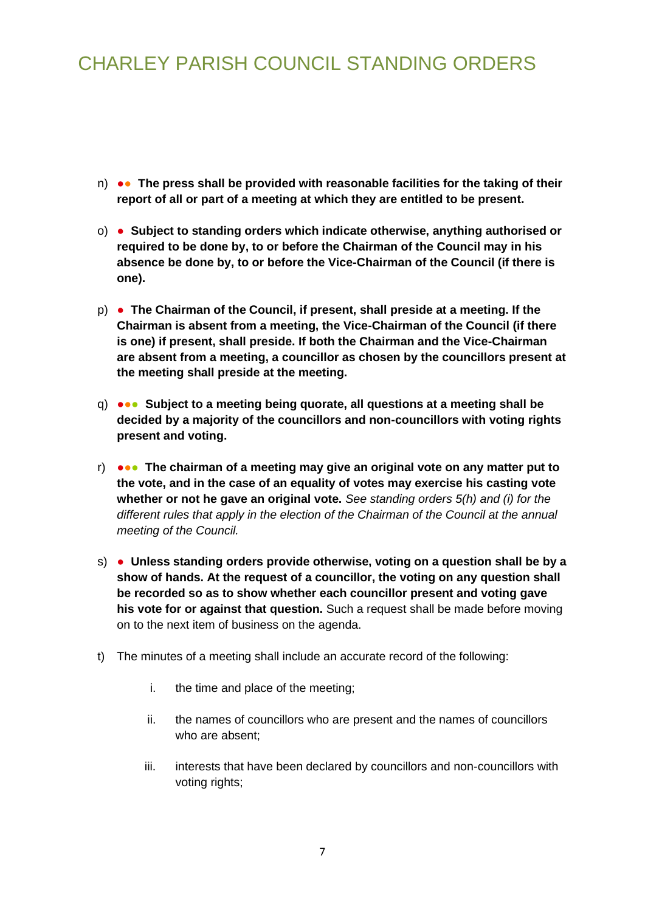- n) ●● **The press shall be provided with reasonable facilities for the taking of their report of all or part of a meeting at which they are entitled to be present.**
- o) **Subject to standing orders which indicate otherwise, anything authorised or required to be done by, to or before the Chairman of the Council may in his absence be done by, to or before the Vice-Chairman of the Council (if there is one).**
- p) **The Chairman of the Council, if present, shall preside at a meeting. If the Chairman is absent from a meeting, the Vice-Chairman of the Council (if there is one) if present, shall preside. If both the Chairman and the Vice-Chairman are absent from a meeting, a councillor as chosen by the councillors present at the meeting shall preside at the meeting.**
- q) ●●● **Subject to a meeting being quorate, all questions at a meeting shall be decided by a majority of the councillors and non-councillors with voting rights present and voting.**
- r) ●●● **The chairman of a meeting may give an original vote on any matter put to the vote, and in the case of an equality of votes may exercise his casting vote whether or not he gave an original vote.** *See standing orders 5(h) and (i) for the different rules that apply in the election of the Chairman of the Council at the annual meeting of the Council.*
- s) **Unless standing orders provide otherwise, voting on a question shall be by a show of hands. At the request of a councillor, the voting on any question shall be recorded so as to show whether each councillor present and voting gave his vote for or against that question.** Such a request shall be made before moving on to the next item of business on the agenda.
- t) The minutes of a meeting shall include an accurate record of the following:
	- i. the time and place of the meeting;
	- ii. the names of councillors who are present and the names of councillors who are absent;
	- iii. interests that have been declared by councillors and non-councillors with voting rights;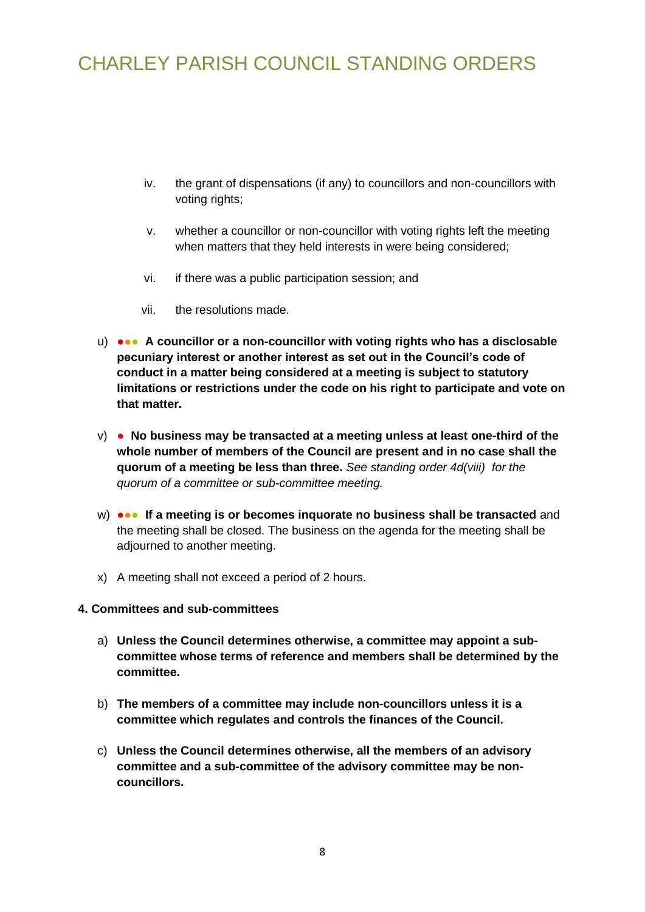- iv. the grant of dispensations (if any) to councillors and non-councillors with voting rights;
- v. whether a councillor or non-councillor with voting rights left the meeting when matters that they held interests in were being considered;
- vi. if there was a public participation session; and
- vii. the resolutions made.
- u) ●●● **A councillor or a non-councillor with voting rights who has a disclosable pecuniary interest or another interest as set out in the Council's code of conduct in a matter being considered at a meeting is subject to statutory limitations or restrictions under the code on his right to participate and vote on that matter.**
- v) **No business may be transacted at a meeting unless at least one-third of the whole number of members of the Council are present and in no case shall the quorum of a meeting be less than three.** *See standing order 4d(viii) for the quorum of a committee or sub-committee meeting.*
- w) **●●●** If a meeting is or becomes inquorate no business shall be transacted and the meeting shall be closed. The business on the agenda for the meeting shall be adjourned to another meeting.
- x) A meeting shall not exceed a period of 2 hours.

#### **4. Committees and sub-committees**

- a) **Unless the Council determines otherwise, a committee may appoint a subcommittee whose terms of reference and members shall be determined by the committee.**
- b) **The members of a committee may include non-councillors unless it is a committee which regulates and controls the finances of the Council.**
- c) **Unless the Council determines otherwise, all the members of an advisory committee and a sub-committee of the advisory committee may be noncouncillors.**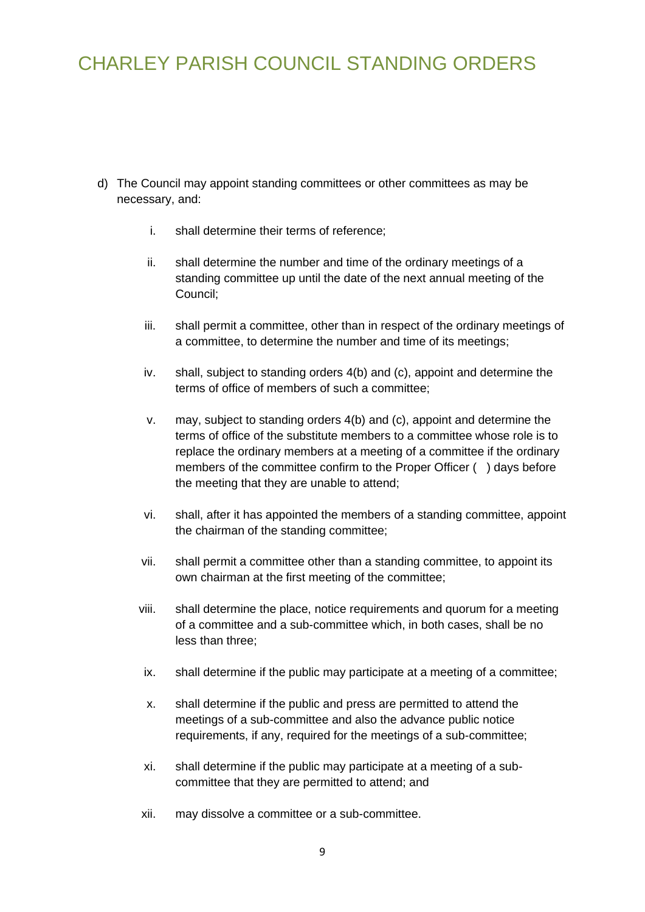- <span id="page-8-0"></span>d) The Council may appoint standing committees or other committees as may be necessary, and:
	- i. shall determine their terms of reference;
	- ii. shall determine the number and time of the ordinary meetings of a standing committee up until the date of the next annual meeting of the Council;
	- iii. shall permit a committee, other than in respect of the ordinary meetings of a committee, to determine the number and time of its meetings;
	- iv. shall, subject to standing orders 4(b) and (c), appoint and determine the terms of office of members of such a committee;
	- v. may, subject to standing orders 4(b) and (c), appoint and determine the terms of office of the substitute members to a committee whose role is to replace the ordinary members at a meeting of a committee if the ordinary members of the committee confirm to the Proper Officer () days before the meeting that they are unable to attend;
	- vi. shall, after it has appointed the members of a standing committee, appoint the chairman of the standing committee;
	- vii. shall permit a committee other than a standing committee, to appoint its own chairman at the first meeting of the committee;
	- viii. shall determine the place, notice requirements and quorum for a meeting of a committee and a sub-committee which, in both cases, shall be no less than three;
		- ix. shall determine if the public may participate at a meeting of a committee;
		- x. shall determine if the public and press are permitted to attend the meetings of a sub-committee and also the advance public notice requirements, if any, required for the meetings of a sub-committee;
	- xi. shall determine if the public may participate at a meeting of a subcommittee that they are permitted to attend; and
	- xii. may dissolve a committee or a sub-committee.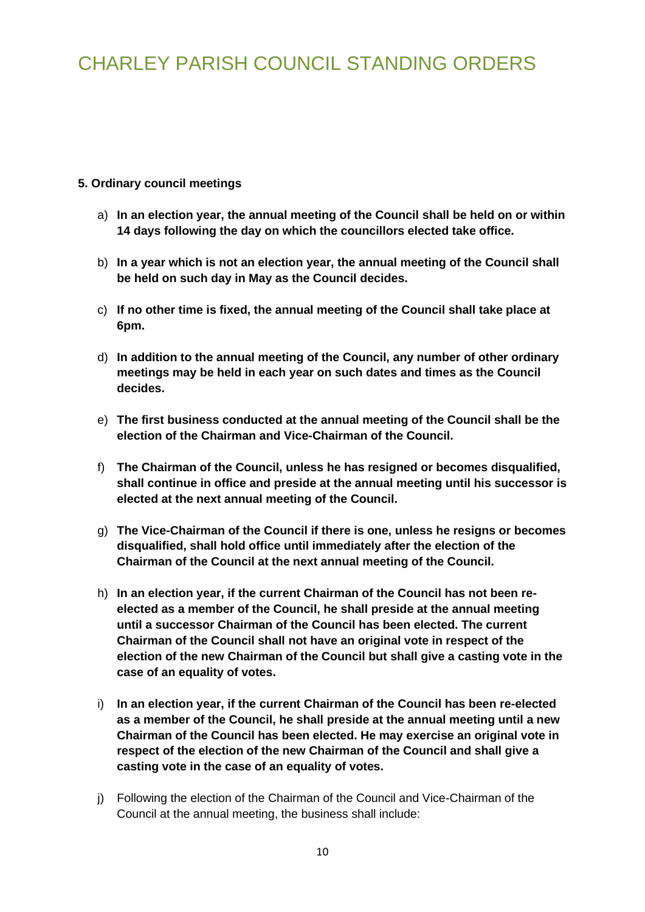### **5. Ordinary council meetings**

- a) **In an election year, the annual meeting of the Council shall be held on or within 14 days following the day on which the councillors elected take office.**
- b) **In a year which is not an election year, the annual meeting of the Council shall be held on such day in May as the Council decides.**
- c) **If no other time is fixed, the annual meeting of the Council shall take place at 6pm.**
- d) **In addition to the annual meeting of the Council, any number of other ordinary meetings may be held in each year on such dates and times as the Council decides.**
- e) **The first business conducted at the annual meeting of the Council shall be the election of the Chairman and Vice-Chairman of the Council.**
- f) **The Chairman of the Council, unless he has resigned or becomes disqualified, shall continue in office and preside at the annual meeting until his successor is elected at the next annual meeting of the Council.**
- g) **The Vice-Chairman of the Council if there is one, unless he resigns or becomes disqualified, shall hold office until immediately after the election of the Chairman of the Council at the next annual meeting of the Council.**
- h) **In an election year, if the current Chairman of the Council has not been reelected as a member of the Council, he shall preside at the annual meeting until a successor Chairman of the Council has been elected. The current Chairman of the Council shall not have an original vote in respect of the election of the new Chairman of the Council but shall give a casting vote in the case of an equality of votes.**
- i) **In an election year, if the current Chairman of the Council has been re-elected as a member of the Council, he shall preside at the annual meeting until a new Chairman of the Council has been elected. He may exercise an original vote in respect of the election of the new Chairman of the Council and shall give a casting vote in the case of an equality of votes.**
- j) Following the election of the Chairman of the Council and Vice-Chairman of the Council at the annual meeting, the business shall include: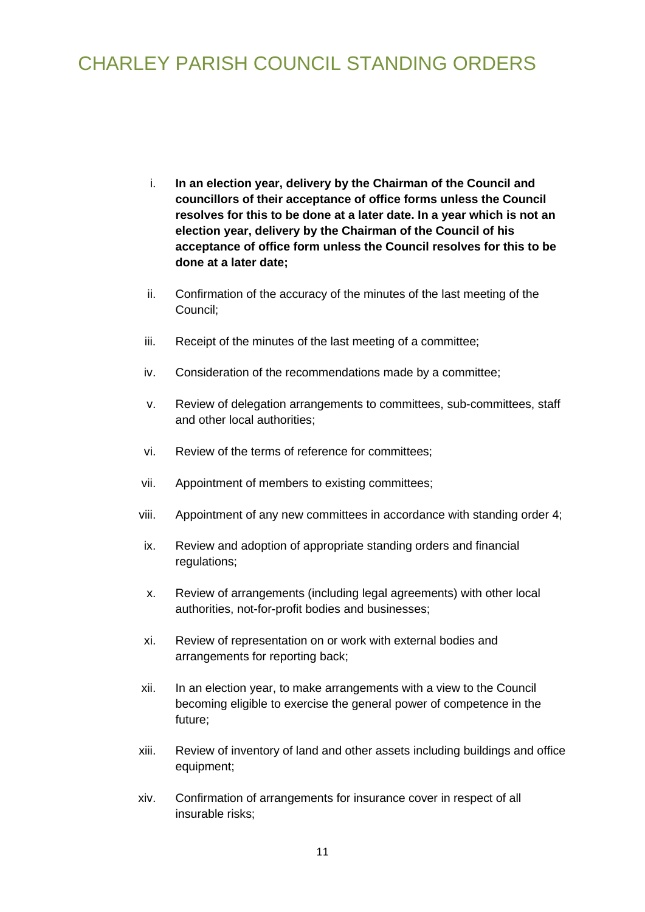- i. **In an election year, delivery by the Chairman of the Council and councillors of their acceptance of office forms unless the Council resolves for this to be done at a later date. In a year which is not an election year, delivery by the Chairman of the Council of his acceptance of office form unless the Council resolves for this to be done at a later date;**
- ii. Confirmation of the accuracy of the minutes of the last meeting of the Council;
- iii. Receipt of the minutes of the last meeting of a committee;
- iv. Consideration of the recommendations made by a committee;
- v. Review of delegation arrangements to committees, sub-committees, staff and other local authorities;
- vi. Review of the terms of reference for committees;
- vii. Appointment of members to existing committees;
- viii. Appointment of any new committees in accordance with standing order 4;
- ix. Review and adoption of appropriate standing orders and financial regulations;
- x. Review of arrangements (including legal agreements) with other local authorities, not-for-profit bodies and businesses;
- xi. Review of representation on or work with external bodies and arrangements for reporting back;
- xii. In an election year, to make arrangements with a view to the Council becoming eligible to exercise the general power of competence in the future;
- xiii. Review of inventory of land and other assets including buildings and office equipment;
- xiv. Confirmation of arrangements for insurance cover in respect of all insurable risks;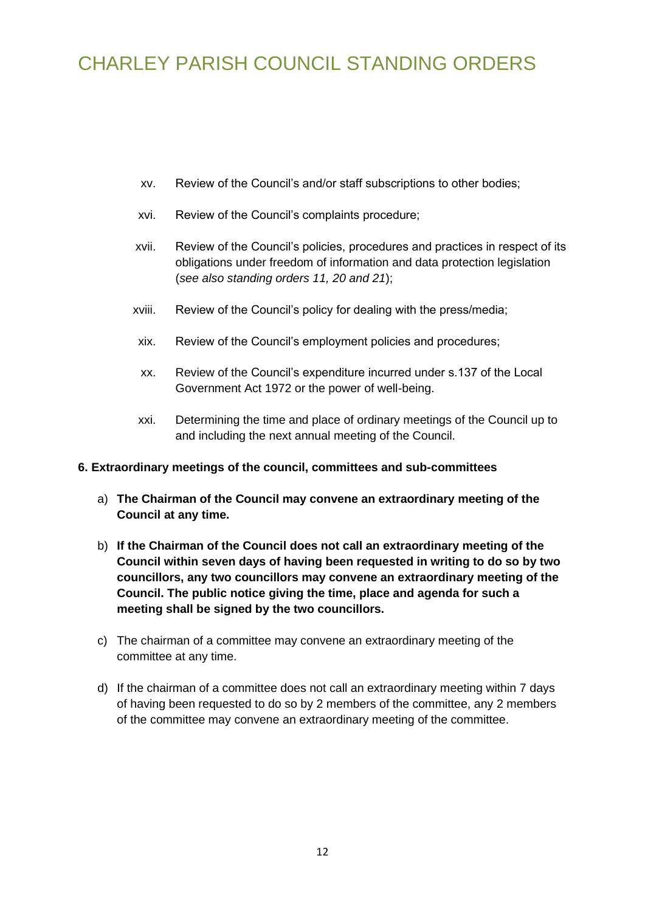- xv. Review of the Council's and/or staff subscriptions to other bodies;
- xvi. Review of the Council's complaints procedure;
- xvii. Review of the Council's policies, procedures and practices in respect of its obligations under freedom of information and data protection legislation (*see also standing orders 11, 20 and 21*);
- xviii. Review of the Council's policy for dealing with the press/media;
- xix. Review of the Council's employment policies and procedures;
- xx. Review of the Council's expenditure incurred under s.137 of the Local Government Act 1972 or the power of well-being.
- <span id="page-11-0"></span>xxi. Determining the time and place of ordinary meetings of the Council up to and including the next annual meeting of the Council.

#### **6. Extraordinary meetings of the council, committees and sub-committees**

- a) **The Chairman of the Council may convene an extraordinary meeting of the Council at any time.**
- b) **If the Chairman of the Council does not call an extraordinary meeting of the Council within seven days of having been requested in writing to do so by two councillors, any two councillors may convene an extraordinary meeting of the Council. The public notice giving the time, place and agenda for such a meeting shall be signed by the two councillors.**
- c) The chairman of a committee may convene an extraordinary meeting of the committee at any time.
- <span id="page-11-1"></span>d) If the chairman of a committee does not call an extraordinary meeting within 7 days of having been requested to do so by 2 members of the committee, any 2 members of the committee may convene an extraordinary meeting of the committee.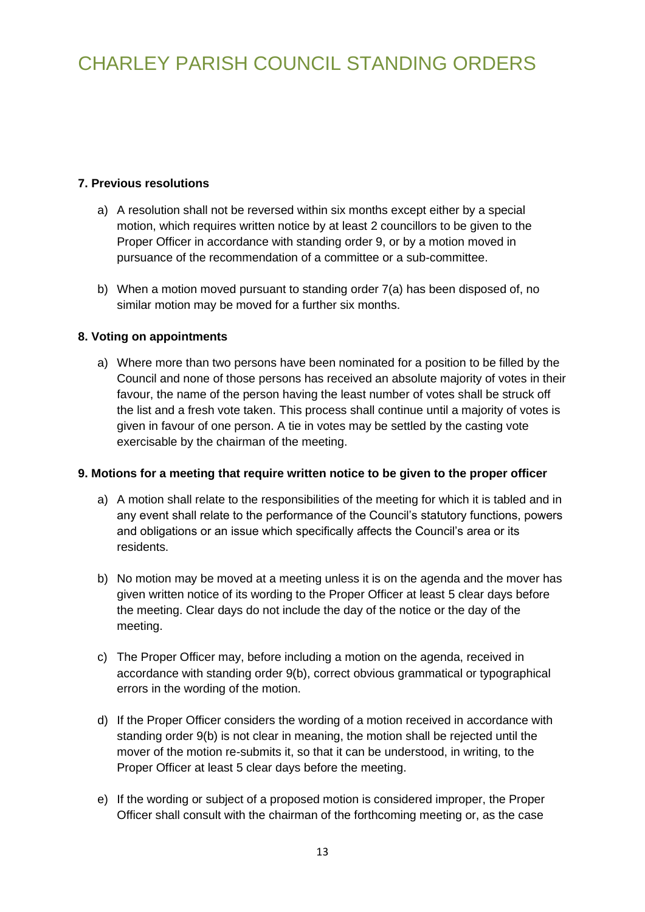### **7. Previous resolutions**

- a) A resolution shall not be reversed within six months except either by a special motion, which requires written notice by at least 2 councillors to be given to the Proper Officer in accordance with standing order 9, or by a motion moved in pursuance of the recommendation of a committee or a sub-committee.
- <span id="page-12-0"></span>b) When a motion moved pursuant to standing order 7(a) has been disposed of, no similar motion may be moved for a further six months.

### **8. Voting on appointments**

a) Where more than two persons have been nominated for a position to be filled by the Council and none of those persons has received an absolute majority of votes in their favour, the name of the person having the least number of votes shall be struck off the list and a fresh vote taken. This process shall continue until a majority of votes is given in favour of one person. A tie in votes may be settled by the casting vote exercisable by the chairman of the meeting.

### **9. Motions for a meeting that require written notice to be given to the proper officer**

- <span id="page-12-1"></span>a) A motion shall relate to the responsibilities of the meeting for which it is tabled and in any event shall relate to the performance of the Council's statutory functions, powers and obligations or an issue which specifically affects the Council's area or its residents.
- b) No motion may be moved at a meeting unless it is on the agenda and the mover has given written notice of its wording to the Proper Officer at least 5 clear days before the meeting. Clear days do not include the day of the notice or the day of the meeting.
- c) The Proper Officer may, before including a motion on the agenda, received in accordance with standing order 9(b), correct obvious grammatical or typographical errors in the wording of the motion.
- d) If the Proper Officer considers the wording of a motion received in accordance with standing order 9(b) is not clear in meaning, the motion shall be rejected until the mover of the motion re-submits it, so that it can be understood, in writing, to the Proper Officer at least 5 clear days before the meeting.
- e) If the wording or subject of a proposed motion is considered improper, the Proper Officer shall consult with the chairman of the forthcoming meeting or, as the case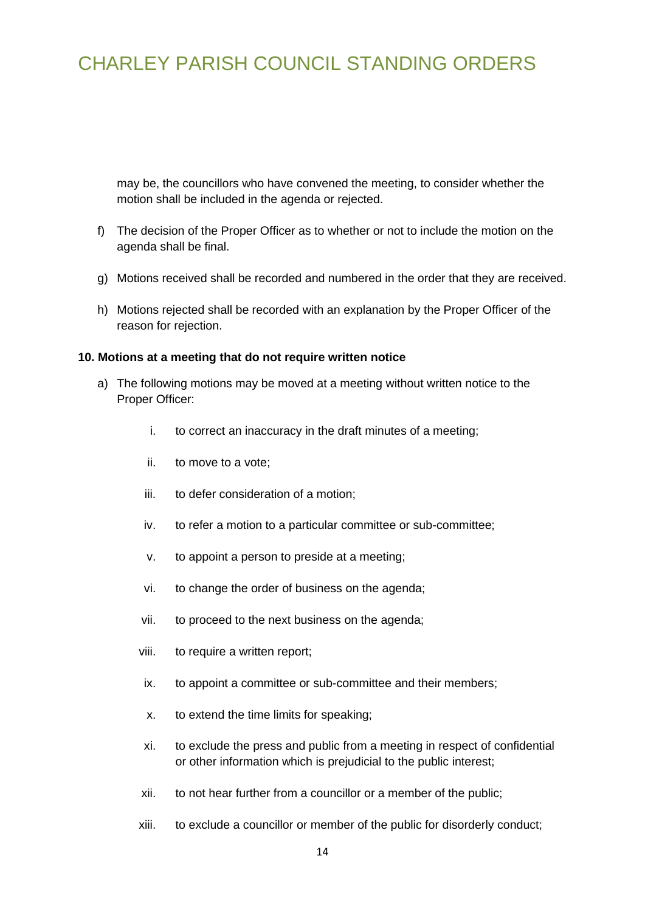may be, the councillors who have convened the meeting, to consider whether the motion shall be included in the agenda or rejected.

- f) The decision of the Proper Officer as to whether or not to include the motion on the agenda shall be final.
- g) Motions received shall be recorded and numbered in the order that they are received.
- <span id="page-13-0"></span>h) Motions rejected shall be recorded with an explanation by the Proper Officer of the reason for rejection.

#### **10. Motions at a meeting that do not require written notice**

- a) The following motions may be moved at a meeting without written notice to the Proper Officer:
	- i. to correct an inaccuracy in the draft minutes of a meeting;
	- ii. to move to a vote;
	- iii. to defer consideration of a motion;
	- iv. to refer a motion to a particular committee or sub-committee;
	- v. to appoint a person to preside at a meeting;
	- vi. to change the order of business on the agenda;
	- vii. to proceed to the next business on the agenda;
	- viii. to require a written report;
	- ix. to appoint a committee or sub-committee and their members;
	- x. to extend the time limits for speaking;
	- xi. to exclude the press and public from a meeting in respect of confidential or other information which is prejudicial to the public interest;
	- xii. to not hear further from a councillor or a member of the public;
	- xiii. to exclude a councillor or member of the public for disorderly conduct;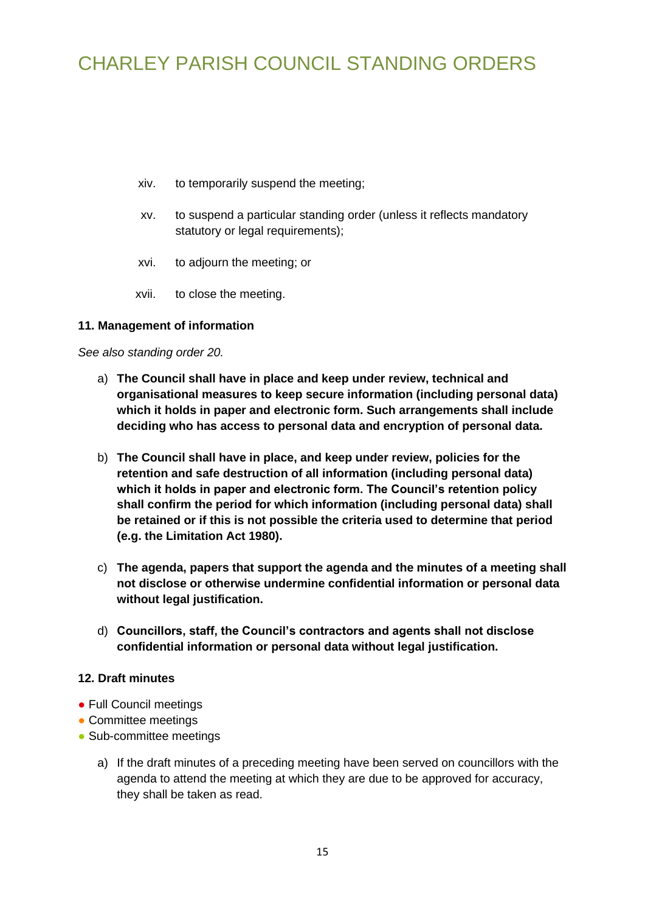- xiv. to temporarily suspend the meeting;
- xv. to suspend a particular standing order (unless it reflects mandatory statutory or legal requirements);
- xvi. to adjourn the meeting; or
- <span id="page-14-0"></span>xvii. to close the meeting.

### **11. Management of information**

*See also standing order 20.*

- a) **The Council shall have in place and keep under review, technical and organisational measures to keep secure information (including personal data) which it holds in paper and electronic form. Such arrangements shall include deciding who has access to personal data and encryption of personal data.**
- b) **The Council shall have in place, and keep under review, policies for the retention and safe destruction of all information (including personal data) which it holds in paper and electronic form. The Council's retention policy shall confirm the period for which information (including personal data) shall be retained or if this is not possible the criteria used to determine that period (e.g. the Limitation Act 1980).**
- c) **The agenda, papers that support the agenda and the minutes of a meeting shall not disclose or otherwise undermine confidential information or personal data without legal justification.**
- <span id="page-14-1"></span>d) **Councillors, staff, the Council's contractors and agents shall not disclose confidential information or personal data without legal justification.**

#### **12. Draft minutes**

- Full Council meetings
- Committee meetings
- Sub-committee meetings
	- a) If the draft minutes of a preceding meeting have been served on councillors with the agenda to attend the meeting at which they are due to be approved for accuracy, they shall be taken as read.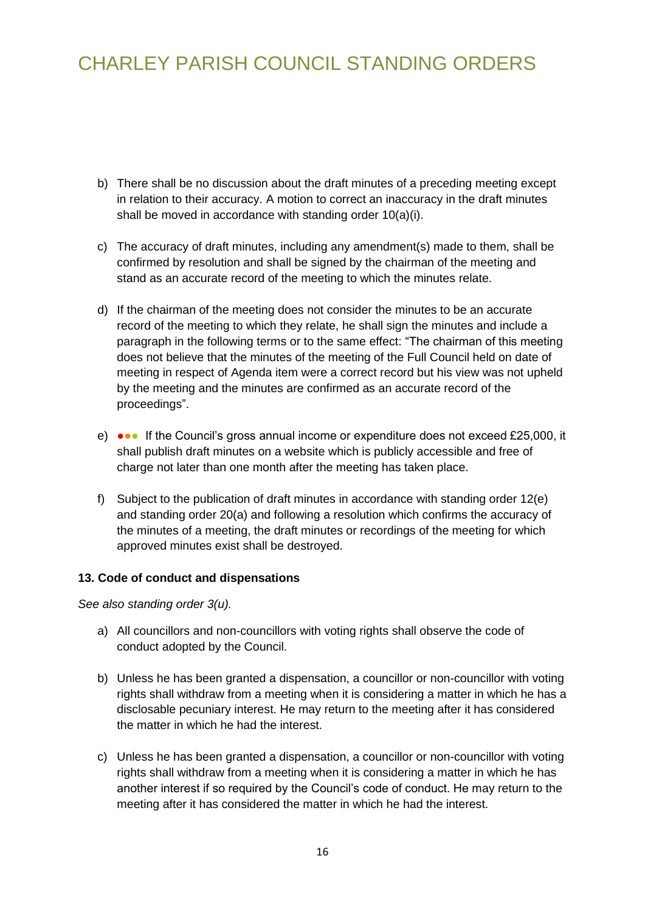- b) There shall be no discussion about the draft minutes of a preceding meeting except in relation to their accuracy. A motion to correct an inaccuracy in the draft minutes shall be moved in accordance with standing order 10(a)(i).
- c) The accuracy of draft minutes, including any amendment(s) made to them, shall be confirmed by resolution and shall be signed by the chairman of the meeting and stand as an accurate record of the meeting to which the minutes relate.
- d) If the chairman of the meeting does not consider the minutes to be an accurate record of the meeting to which they relate, he shall sign the minutes and include a paragraph in the following terms or to the same effect: "The chairman of this meeting does not believe that the minutes of the meeting of the Full Council held on date of meeting in respect of Agenda item were a correct record but his view was not upheld by the meeting and the minutes are confirmed as an accurate record of the proceedings".
- e) ••• If the Council's gross annual income or expenditure does not exceed £25,000, it shall publish draft minutes on a website which is publicly accessible and free of charge not later than one month after the meeting has taken place.
- f) Subject to the publication of draft minutes in accordance with standing order 12(e) and standing order 20(a) and following a resolution which confirms the accuracy of the minutes of a meeting, the draft minutes or recordings of the meeting for which approved minutes exist shall be destroyed.

### <span id="page-15-0"></span>**13. Code of conduct and dispensations**

*See also standing order 3(u).*

- a) All councillors and non-councillors with voting rights shall observe the code of conduct adopted by the Council.
- b) Unless he has been granted a dispensation, a councillor or non-councillor with voting rights shall withdraw from a meeting when it is considering a matter in which he has a disclosable pecuniary interest. He may return to the meeting after it has considered the matter in which he had the interest.
- <span id="page-15-1"></span>c) Unless he has been granted a dispensation, a councillor or non-councillor with voting rights shall withdraw from a meeting when it is considering a matter in which he has another interest if so required by the Council's code of conduct. He may return to the meeting after it has considered the matter in which he had the interest.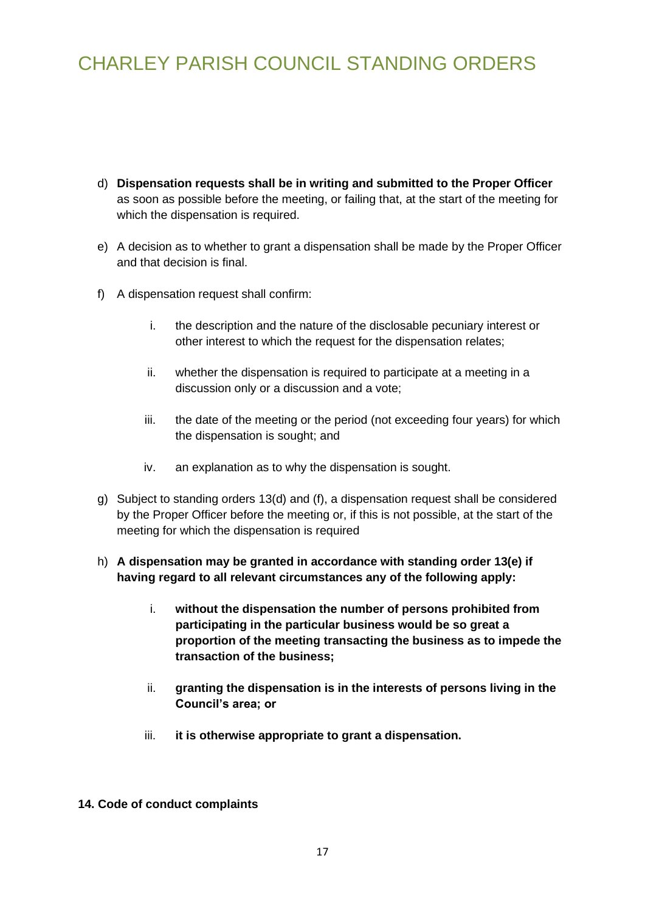- d) **Dispensation requests shall be in writing and submitted to the Proper Officer** as soon as possible before the meeting, or failing that, at the start of the meeting for which the dispensation is required.
- e) A decision as to whether to grant a dispensation shall be made by the Proper Officer and that decision is final.
- f) A dispensation request shall confirm:
	- i. the description and the nature of the disclosable pecuniary interest or other interest to which the request for the dispensation relates;
	- ii. whether the dispensation is required to participate at a meeting in a discussion only or a discussion and a vote;
	- iii. the date of the meeting or the period (not exceeding four years) for which the dispensation is sought; and
	- iv. an explanation as to why the dispensation is sought.
- g) Subject to standing orders 13(d) and (f), a dispensation request shall be considered by the Proper Officer before the meeting or, if this is not possible, at the start of the meeting for which the dispensation is required
- h) **A dispensation may be granted in accordance with standing order 13(e) if having regard to all relevant circumstances any of the following apply:**
	- i. **without the dispensation the number of persons prohibited from participating in the particular business would be so great a proportion of the meeting transacting the business as to impede the transaction of the business;**
	- ii. **granting the dispensation is in the interests of persons living in the Council's area; or**
	- iii. **it is otherwise appropriate to grant a dispensation.**
- **14. Code of conduct complaints**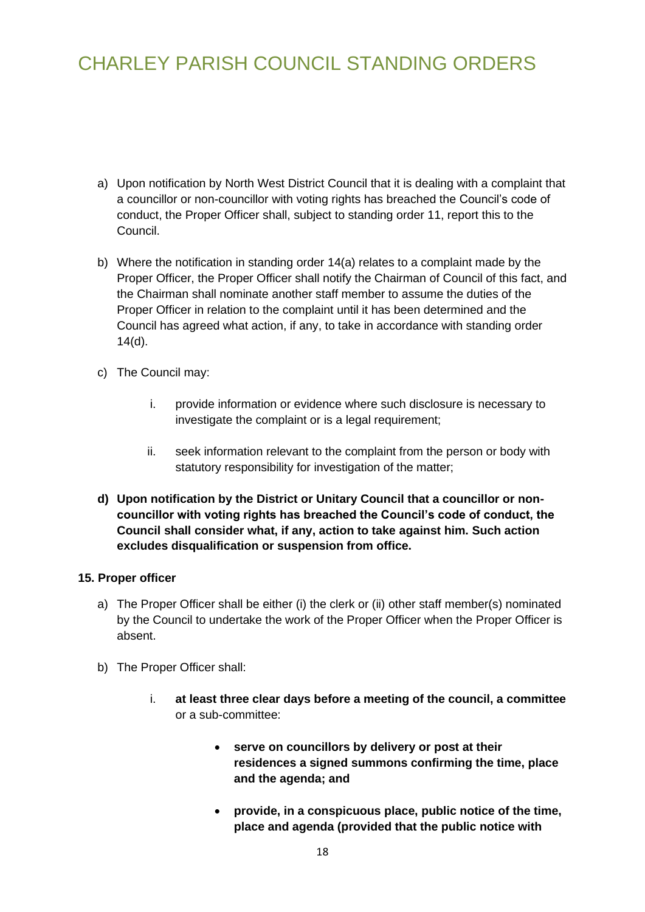- a) Upon notification by North West District Council that it is dealing with a complaint that a councillor or non-councillor with voting rights has breached the Council's code of conduct, the Proper Officer shall, subject to standing order 11, report this to the Council.
- b) Where the notification in standing order 14(a) relates to a complaint made by the Proper Officer, the Proper Officer shall notify the Chairman of Council of this fact, and the Chairman shall nominate another staff member to assume the duties of the Proper Officer in relation to the complaint until it has been determined and the Council has agreed what action, if any, to take in accordance with standing order 14(d).
- c) The Council may:
	- i. provide information or evidence where such disclosure is necessary to investigate the complaint or is a legal requirement;
	- ii. seek information relevant to the complaint from the person or body with statutory responsibility for investigation of the matter;
- **d) Upon notification by the District or Unitary Council that a councillor or noncouncillor with voting rights has breached the Council's code of conduct, the Council shall consider what, if any, action to take against him. Such action excludes disqualification or suspension from office.**

#### <span id="page-17-0"></span>**15. Proper officer**

- a) The Proper Officer shall be either (i) the clerk or (ii) other staff member(s) nominated by the Council to undertake the work of the Proper Officer when the Proper Officer is absent.
- b) The Proper Officer shall:
	- i. **at least three clear days before a meeting of the council, a committee**  or a sub-committee:
		- **serve on councillors by delivery or post at their residences a signed summons confirming the time, place and the agenda; and**
		- **provide, in a conspicuous place, public notice of the time, place and agenda (provided that the public notice with**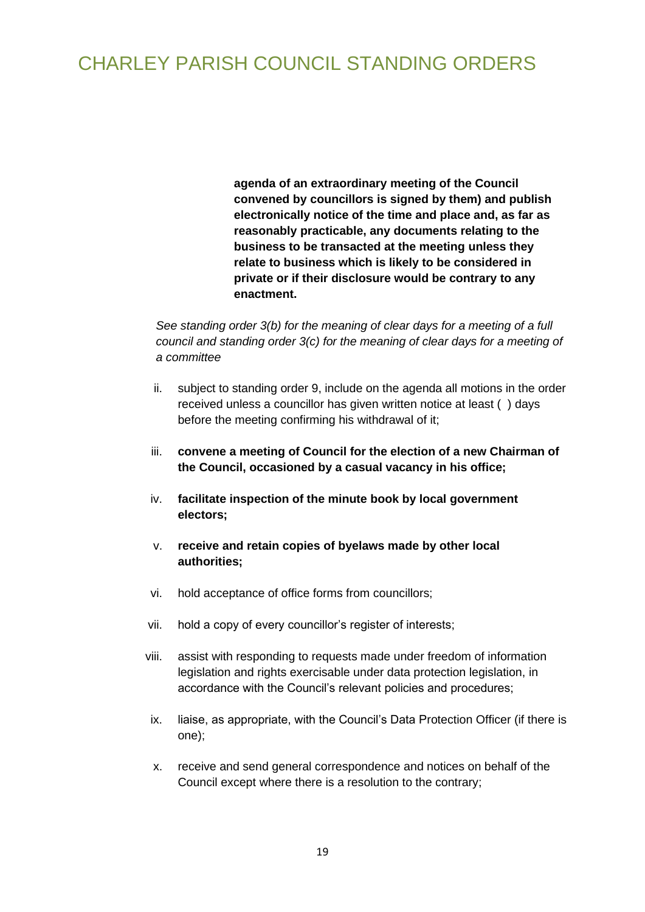**agenda of an extraordinary meeting of the Council convened by councillors is signed by them) and publish electronically notice of the time and place and, as far as reasonably practicable, any documents relating to the business to be transacted at the meeting unless they relate to business which is likely to be considered in private or if their disclosure would be contrary to any enactment.**

*See standing order 3(b) for the meaning of clear days for a meeting of a full council and standing order 3(c) for the meaning of clear days for a meeting of a committee*

- ii. subject to standing order 9, include on the agenda all motions in the order received unless a councillor has given written notice at least ( ) days before the meeting confirming his withdrawal of it;
- iii. **convene a meeting of Council for the election of a new Chairman of the Council, occasioned by a casual vacancy in his office;**
- iv. **facilitate inspection of the minute book by local government electors;**
- v. **receive and retain copies of byelaws made by other local authorities;**
- vi. hold acceptance of office forms from councillors;
- vii. hold a copy of every councillor's register of interests;
- viii. assist with responding to requests made under freedom of information legislation and rights exercisable under data protection legislation, in accordance with the Council's relevant policies and procedures;
- ix. liaise, as appropriate, with the Council's Data Protection Officer (if there is one);
- x. receive and send general correspondence and notices on behalf of the Council except where there is a resolution to the contrary;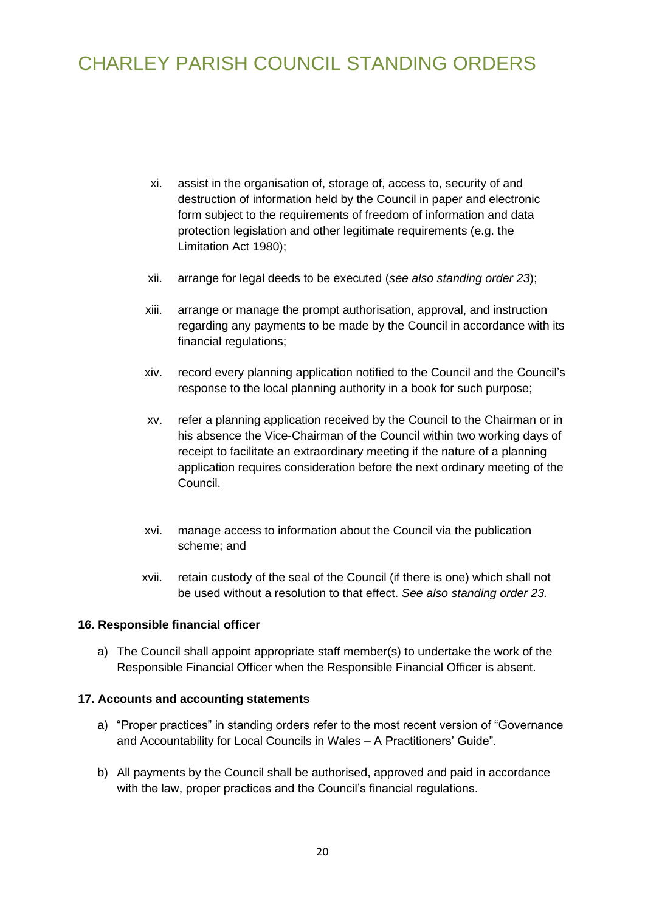- xi. assist in the organisation of, storage of, access to, security of and destruction of information held by the Council in paper and electronic form subject to the requirements of freedom of information and data protection legislation and other legitimate requirements (e.g. the Limitation Act 1980);
- xii. arrange for legal deeds to be executed (*see also standing order 23*);
- xiii. arrange or manage the prompt authorisation, approval, and instruction regarding any payments to be made by the Council in accordance with its financial regulations;
- xiv. record every planning application notified to the Council and the Council's response to the local planning authority in a book for such purpose;
- xv. refer a planning application received by the Council to the Chairman or in his absence the Vice-Chairman of the Council within two working days of receipt to facilitate an extraordinary meeting if the nature of a planning application requires consideration before the next ordinary meeting of the Council.
- xvi. manage access to information about the Council via the publication scheme; and
- <span id="page-19-1"></span><span id="page-19-0"></span>xvii. retain custody of the seal of the Council (if there is one) which shall not be used without a resolution to that effect. *See also standing order 23.*

#### **16. Responsible financial officer**

a) The Council shall appoint appropriate staff member(s) to undertake the work of the Responsible Financial Officer when the Responsible Financial Officer is absent.

#### **17. Accounts and accounting statements**

- a) "Proper practices" in standing orders refer to the most recent version of "Governance and Accountability for Local Councils in Wales – A Practitioners' Guide".
- b) All payments by the Council shall be authorised, approved and paid in accordance with the law, proper practices and the Council's financial regulations.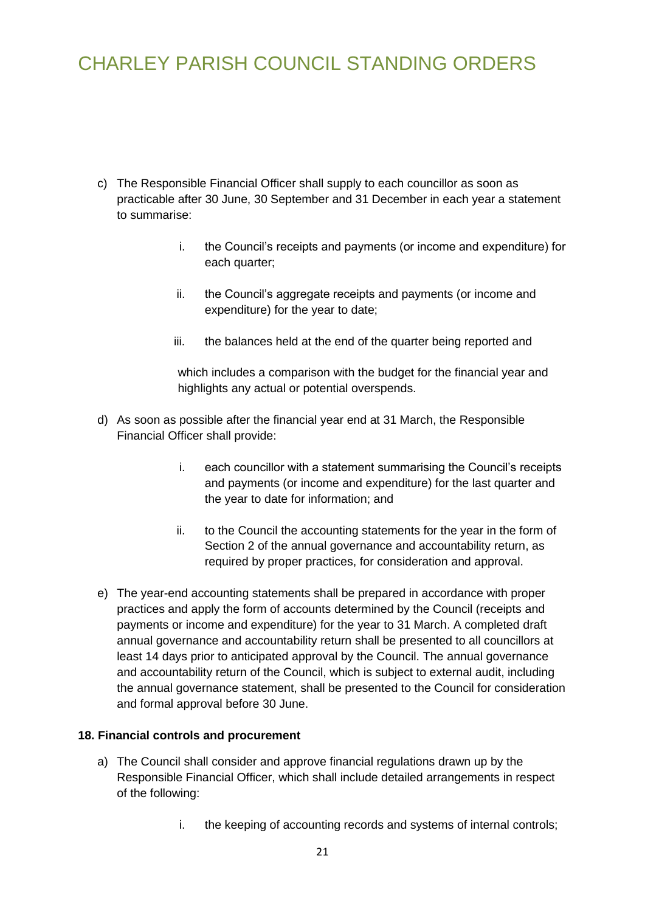- c) The Responsible Financial Officer shall supply to each councillor as soon as practicable after 30 June, 30 September and 31 December in each year a statement to summarise:
	- i. the Council's receipts and payments (or income and expenditure) for each quarter;
	- ii. the Council's aggregate receipts and payments (or income and expenditure) for the year to date;
	- iii. the balances held at the end of the quarter being reported and

which includes a comparison with the budget for the financial year and highlights any actual or potential overspends.

- d) As soon as possible after the financial year end at 31 March, the Responsible Financial Officer shall provide:
	- i. each councillor with a statement summarising the Council's receipts and payments (or income and expenditure) for the last quarter and the year to date for information; and
	- ii. to the Council the accounting statements for the year in the form of Section 2 of the annual governance and accountability return, as required by proper practices, for consideration and approval.
- e) The year-end accounting statements shall be prepared in accordance with proper practices and apply the form of accounts determined by the Council (receipts and payments or income and expenditure) for the year to 31 March. A completed draft annual governance and accountability return shall be presented to all councillors at least 14 days prior to anticipated approval by the Council. The annual governance and accountability return of the Council, which is subject to external audit, including the annual governance statement, shall be presented to the Council for consideration and formal approval before 30 June.

### **18. Financial controls and procurement**

- <span id="page-20-0"></span>a) The Council shall consider and approve financial regulations drawn up by the Responsible Financial Officer, which shall include detailed arrangements in respect of the following:
	- i. the keeping of accounting records and systems of internal controls;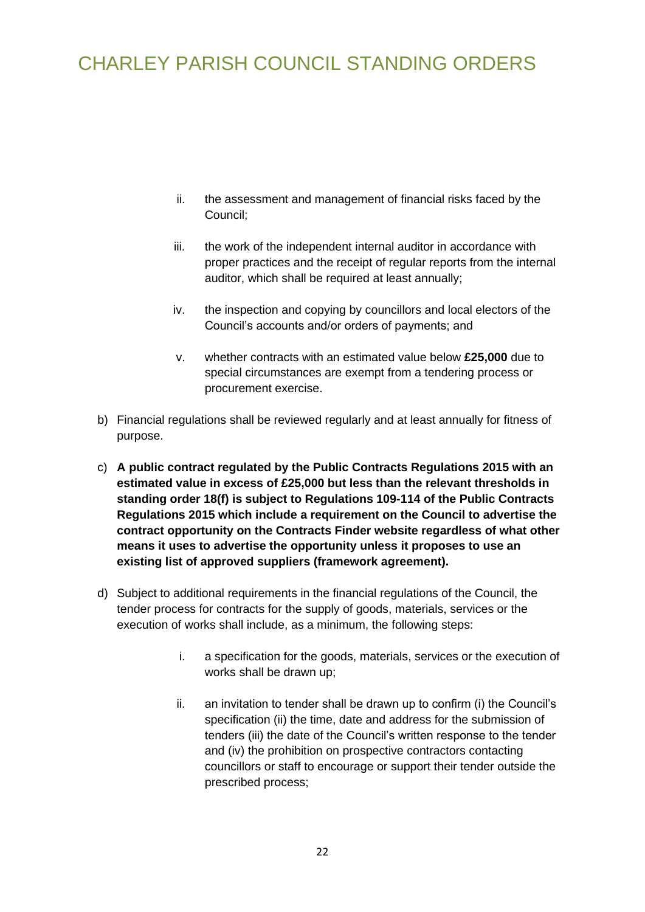- ii. the assessment and management of financial risks faced by the Council;
- iii. the work of the independent internal auditor in accordance with proper practices and the receipt of regular reports from the internal auditor, which shall be required at least annually;
- iv. the inspection and copying by councillors and local electors of the Council's accounts and/or orders of payments; and
- v. whether contracts with an estimated value below **£25,000** due to special circumstances are exempt from a tendering process or procurement exercise.
- b) Financial regulations shall be reviewed regularly and at least annually for fitness of purpose.
- c) **A public contract regulated by the Public Contracts Regulations 2015 with an estimated value in excess of £25,000 but less than the relevant thresholds in standing order 18(f) is subject to Regulations 109-114 of the Public Contracts Regulations 2015 which include a requirement on the Council to advertise the contract opportunity on the Contracts Finder website regardless of what other means it uses to advertise the opportunity unless it proposes to use an existing list of approved suppliers (framework agreement).**
- d) Subject to additional requirements in the financial regulations of the Council, the tender process for contracts for the supply of goods, materials, services or the execution of works shall include, as a minimum, the following steps:
	- i. a specification for the goods, materials, services or the execution of works shall be drawn up;
	- ii. an invitation to tender shall be drawn up to confirm (i) the Council's specification (ii) the time, date and address for the submission of tenders (iii) the date of the Council's written response to the tender and (iv) the prohibition on prospective contractors contacting councillors or staff to encourage or support their tender outside the prescribed process;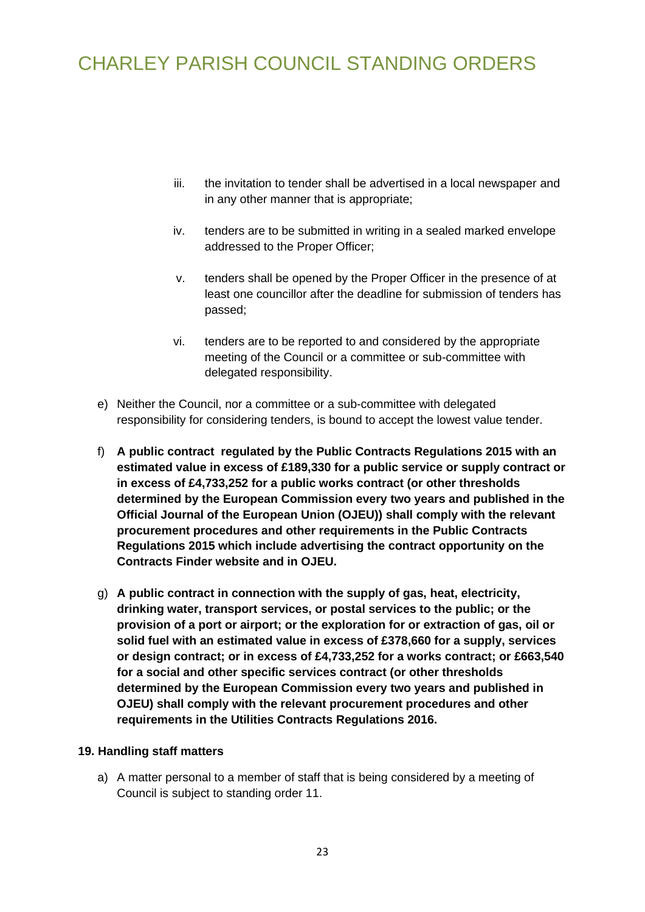- iii. the invitation to tender shall be advertised in a local newspaper and in any other manner that is appropriate;
- iv. tenders are to be submitted in writing in a sealed marked envelope addressed to the Proper Officer;
- v. tenders shall be opened by the Proper Officer in the presence of at least one councillor after the deadline for submission of tenders has passed;
- vi. tenders are to be reported to and considered by the appropriate meeting of the Council or a committee or sub-committee with delegated responsibility.
- e) Neither the Council, nor a committee or a sub-committee with delegated responsibility for considering tenders, is bound to accept the lowest value tender.
- f) **A public contract regulated by the Public Contracts Regulations 2015 with an estimated value in excess of £189,330 for a public service or supply contract or in excess of £4,733,252 for a public works contract (or other thresholds determined by the European Commission every two years and published in the Official Journal of the European Union (OJEU)) shall comply with the relevant procurement procedures and other requirements in the Public Contracts Regulations 2015 which include advertising the contract opportunity on the Contracts Finder website and in OJEU.**
- g) **A public contract in connection with the supply of gas, heat, electricity, drinking water, transport services, or postal services to the public; or the provision of a port or airport; or the exploration for or extraction of gas, oil or solid fuel with an estimated value in excess of £378,660 for a supply, services or design contract; or in excess of £4,733,252 for a works contract; or £663,540 for a social and other specific services contract (or other thresholds determined by the European Commission every two years and published in OJEU) shall comply with the relevant procurement procedures and other requirements in the Utilities Contracts Regulations 2016.**

### **19. Handling staff matters**

<span id="page-22-0"></span>a) A matter personal to a member of staff that is being considered by a meeting of Council is subject to standing order 11.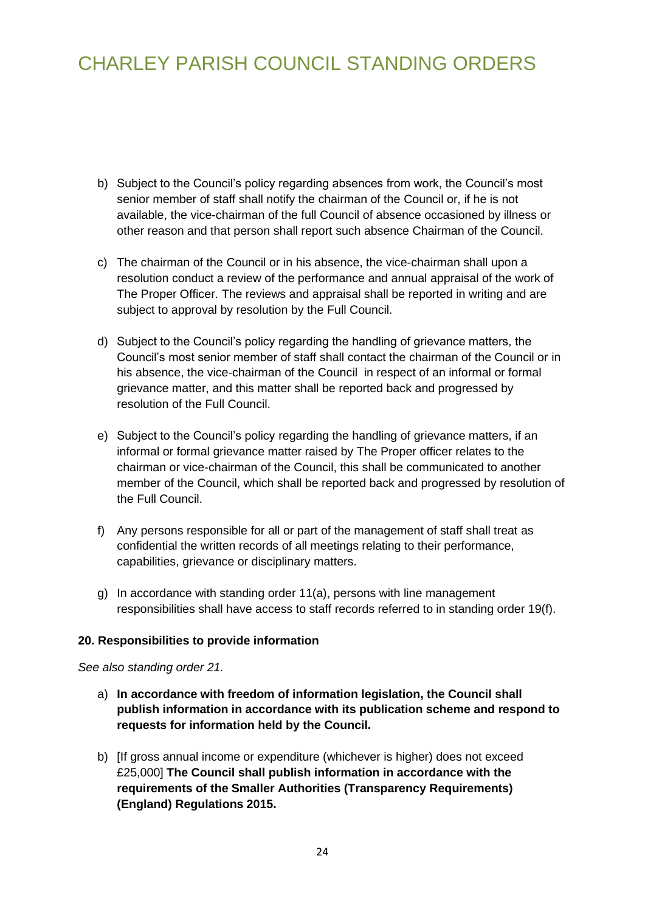- b) Subject to the Council's policy regarding absences from work, the Council's most senior member of staff shall notify the chairman of the Council or, if he is not available, the vice-chairman of the full Council of absence occasioned by illness or other reason and that person shall report such absence Chairman of the Council.
- c) The chairman of the Council or in his absence, the vice-chairman shall upon a resolution conduct a review of the performance and annual appraisal of the work of The Proper Officer. The reviews and appraisal shall be reported in writing and are subject to approval by resolution by the Full Council.
- d) Subject to the Council's policy regarding the handling of grievance matters, the Council's most senior member of staff shall contact the chairman of the Council or in his absence, the vice-chairman of the Council in respect of an informal or formal grievance matter, and this matter shall be reported back and progressed by resolution of the Full Council.
- e) Subject to the Council's policy regarding the handling of grievance matters, if an informal or formal grievance matter raised by The Proper officer relates to the chairman or vice-chairman of the Council, this shall be communicated to another member of the Council, which shall be reported back and progressed by resolution of the Full Council.
- f) Any persons responsible for all or part of the management of staff shall treat as confidential the written records of all meetings relating to their performance, capabilities, grievance or disciplinary matters.
- <span id="page-23-0"></span>g) In accordance with standing order 11(a), persons with line management responsibilities shall have access to staff records referred to in standing order 19(f).

### **20. Responsibilities to provide information**

*See also standing order 21.*

- a) **In accordance with freedom of information legislation, the Council shall publish information in accordance with its publication scheme and respond to requests for information held by the Council.**
- <span id="page-23-1"></span>b) [If gross annual income or expenditure (whichever is higher) does not exceed £25,000] **The Council shall publish information in accordance with the requirements of the Smaller Authorities (Transparency Requirements) (England) Regulations 2015.**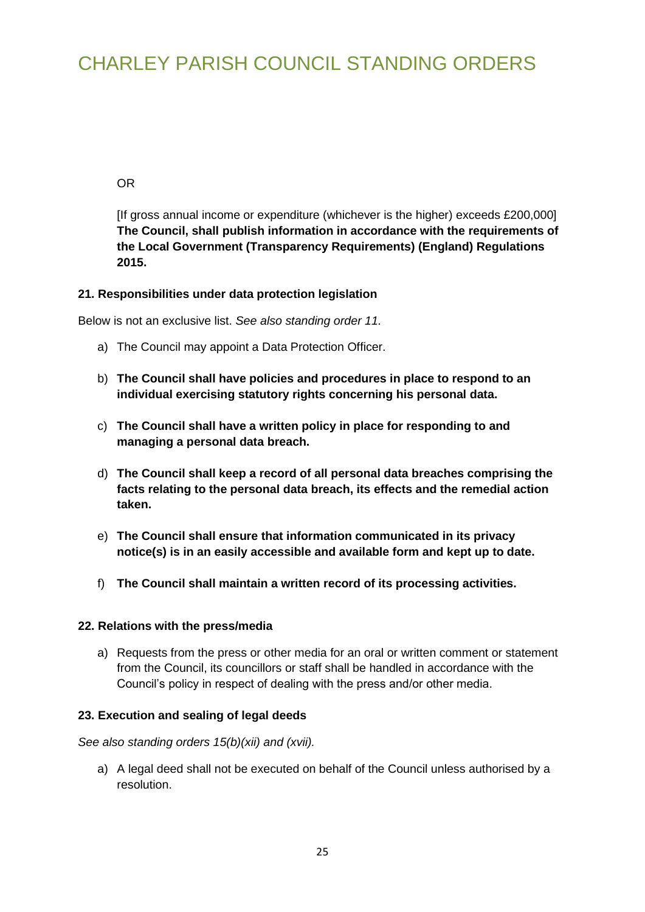OR

[If gross annual income or expenditure (whichever is the higher) exceeds £200,000] **The Council, shall publish information in accordance with the requirements of the Local Government (Transparency Requirements) (England) Regulations 2015.**

### **21. Responsibilities under data protection legislation**

Below is not an exclusive list. *See also standing order 11.*

- a) The Council may appoint a Data Protection Officer.
- b) **The Council shall have policies and procedures in place to respond to an individual exercising statutory rights concerning his personal data.**
- c) **The Council shall have a written policy in place for responding to and managing a personal data breach.**
- d) **The Council shall keep a record of all personal data breaches comprising the facts relating to the personal data breach, its effects and the remedial action taken.**
- e) **The Council shall ensure that information communicated in its privacy notice(s) is in an easily accessible and available form and kept up to date.**
- <span id="page-24-0"></span>f) **The Council shall maintain a written record of its processing activities.**

### **22. Relations with the press/media**

<span id="page-24-1"></span>a) Requests from the press or other media for an oral or written comment or statement from the Council, its councillors or staff shall be handled in accordance with the Council's policy in respect of dealing with the press and/or other media.

### **23. Execution and sealing of legal deeds**

*See also standing orders 15(b)(xii) and (xvii).*

a) A legal deed shall not be executed on behalf of the Council unless authorised by a resolution.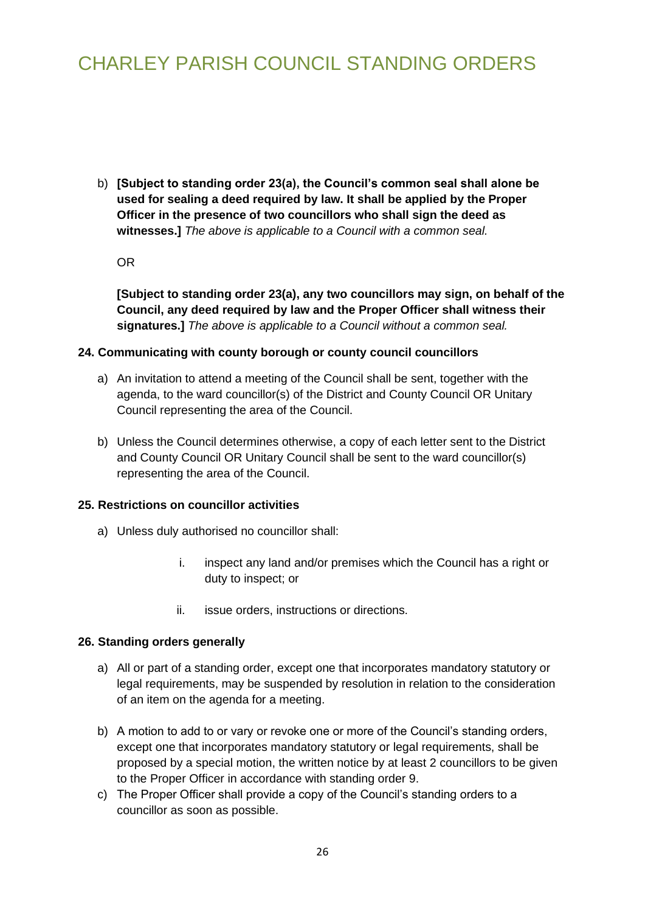b) **[Subject to standing order 23(a), the Council's common seal shall alone be used for sealing a deed required by law. It shall be applied by the Proper Officer in the presence of two councillors who shall sign the deed as witnesses.]** *The above is applicable to a Council with a common seal.*

OR

<span id="page-25-0"></span>**[Subject to standing order 23(a), any two councillors may sign, on behalf of the Council, any deed required by law and the Proper Officer shall witness their signatures.]** *The above is applicable to a Council without a common seal.*

#### **24. Communicating with county borough or county council councillors**

- <span id="page-25-1"></span>a) An invitation to attend a meeting of the Council shall be sent, together with the agenda, to the ward councillor(s) of the District and County Council OR Unitary Council representing the area of the Council.
- b) Unless the Council determines otherwise, a copy of each letter sent to the District and County Council OR Unitary Council shall be sent to the ward councillor(s) representing the area of the Council.

#### **25. Restrictions on councillor activities**

- a) Unless duly authorised no councillor shall:
	- i. inspect any land and/or premises which the Council has a right or duty to inspect; or
	- ii. issue orders, instructions or directions.

#### **26. Standing orders generally**

- <span id="page-25-2"></span>a) All or part of a standing order, except one that incorporates mandatory statutory or legal requirements, may be suspended by resolution in relation to the consideration of an item on the agenda for a meeting.
- b) A motion to add to or vary or revoke one or more of the Council's standing orders, except one that incorporates mandatory statutory or legal requirements, shall be proposed by a special motion, the written notice by at least 2 councillors to be given to the Proper Officer in accordance with standing order 9.
- c) The Proper Officer shall provide a copy of the Council's standing orders to a councillor as soon as possible.